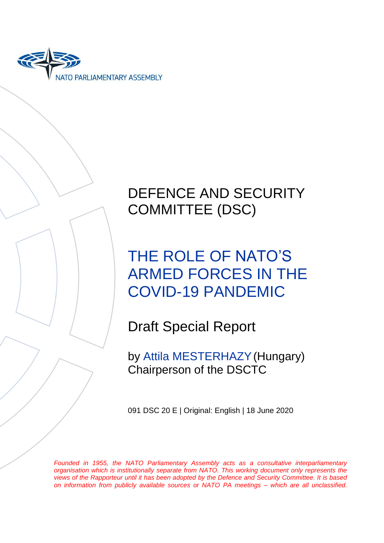

# DEFENCE AND SECURITY COMMITTEE (DSC)

# THE ROLE OF NATO'S ARMED FORCES IN THE COVID-19 PANDEMIC

Draft Special Report

by Attila MESTERHAZY(Hungary) Chairperson of the DSCTC

091 DSC 20 E | Original: English | 18 June 2020

*Founded in 1955, the NATO Parliamentary Assembly acts as a consultative interparliamentary organisation which is institutionally separate from NATO. This working document only represents the views of the Rapporteur until it has been adopted by the Defence and Security Committee. It is based on information from publicly available sources or NATO PA meetings – which are all unclassified.*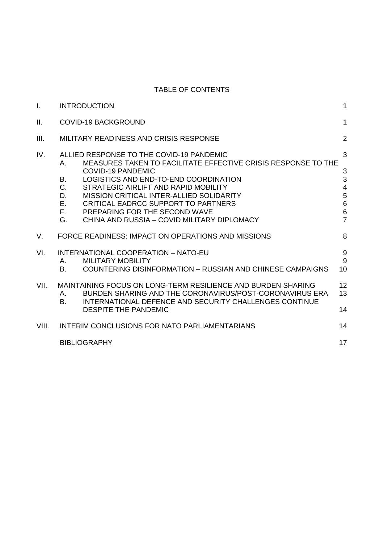# TABLE OF CONTENTS

| I.    | <b>INTRODUCTION</b>                                                                                                                                                                                                                                                                                                                                                                                                                        | 1                                                                                       |
|-------|--------------------------------------------------------------------------------------------------------------------------------------------------------------------------------------------------------------------------------------------------------------------------------------------------------------------------------------------------------------------------------------------------------------------------------------------|-----------------------------------------------------------------------------------------|
| П.    | <b>COVID-19 BACKGROUND</b>                                                                                                                                                                                                                                                                                                                                                                                                                 | $\mathbf{1}$                                                                            |
| III.  | MILITARY READINESS AND CRISIS RESPONSE                                                                                                                                                                                                                                                                                                                                                                                                     | $\overline{2}$                                                                          |
| IV.   | ALLIED RESPONSE TO THE COVID-19 PANDEMIC<br>MEASURES TAKEN TO FACILITATE EFFECTIVE CRISIS RESPONSE TO THE<br>Α.<br><b>COVID-19 PANDEMIC</b><br>LOGISTICS AND END-TO-END COORDINATION<br><b>B.</b><br>C.<br>STRATEGIC AIRLIFT AND RAPID MOBILITY<br>MISSION CRITICAL INTER-ALLIED SOLIDARITY<br>D.<br>Ε.<br>CRITICAL EADRCC SUPPORT TO PARTNERS<br>F.<br>PREPARING FOR THE SECOND WAVE<br>CHINA AND RUSSIA - COVID MILITARY DIPLOMACY<br>G. | 3<br>3<br>3<br>$\overline{4}$<br>$\begin{array}{c} 5 \\ 6 \end{array}$<br>$\frac{6}{7}$ |
| V.    | FORCE READINESS: IMPACT ON OPERATIONS AND MISSIONS                                                                                                                                                                                                                                                                                                                                                                                         | 8                                                                                       |
| VI.   | INTERNATIONAL COOPERATION - NATO-EU<br><b>MILITARY MOBILITY</b><br>Α.<br>10<br><b>COUNTERING DISINFORMATION - RUSSIAN AND CHINESE CAMPAIGNS</b><br>В.                                                                                                                                                                                                                                                                                      | $\overline{9}$<br>9                                                                     |
| VII.  | 12<br>MAINTAINING FOCUS ON LONG-TERM RESILIENCE AND BURDEN SHARING<br>13<br>BURDEN SHARING AND THE CORONAVIRUS/POST-CORONAVIRUS ERA<br>А.<br>INTERNATIONAL DEFENCE AND SECURITY CHALLENGES CONTINUE<br>В.<br>14<br><b>DESPITE THE PANDEMIC</b>                                                                                                                                                                                             |                                                                                         |
| VIII. | 14<br>INTERIM CONCLUSIONS FOR NATO PARLIAMENTARIANS                                                                                                                                                                                                                                                                                                                                                                                        |                                                                                         |
|       | 17<br><b>BIBLIOGRAPHY</b>                                                                                                                                                                                                                                                                                                                                                                                                                  |                                                                                         |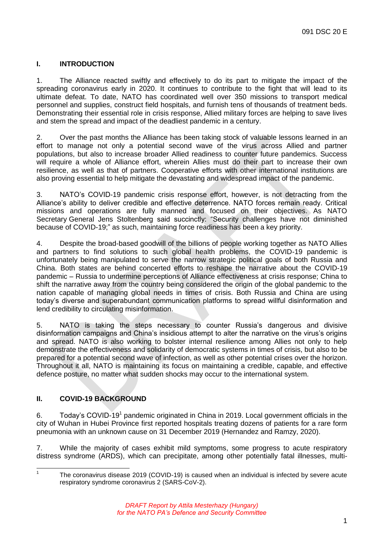# <span id="page-2-0"></span>**I. INTRODUCTION**

1. The Alliance reacted swiftly and effectively to do its part to mitigate the impact of the spreading coronavirus early in 2020. It continues to contribute to the fight that will lead to its ultimate defeat. To date, NATO has coordinated well over 350 missions to transport medical personnel and supplies, construct field hospitals, and furnish tens of thousands of treatment beds. Demonstrating their essential role in crisis response, Allied military forces are helping to save lives and stem the spread and impact of the deadliest pandemic in a century.

2. Over the past months the Alliance has been taking stock of valuable lessons learned in an effort to manage not only a potential second wave of the virus across Allied and partner populations, but also to increase broader Allied readiness to counter future pandemics. Success will require a whole of Alliance effort, wherein Allies must do their part to increase their own resilience, as well as that of partners. Cooperative efforts with other international institutions are also proving essential to help mitigate the devastating and widespread impact of the pandemic.

3. NATO's COVID-19 pandemic crisis response effort, however, is not detracting from the Alliance's ability to deliver credible and effective deterrence. NATO forces remain ready. Critical missions and operations are fully manned and focused on their objectives. As NATO Secretary General Jens Stoltenberg said succinctly: "Security challenges have not diminished because of COVID-19;" as such, maintaining force readiness has been a key priority.

4. Despite the broad-based goodwill of the billions of people working together as NATO Allies and partners to find solutions to such global health problems, the COVID-19 pandemic is unfortunately being manipulated to serve the narrow strategic political goals of both Russia and China. Both states are behind concerted efforts to reshape the narrative about the COVID-19 pandemic – Russia to undermine perceptions of Alliance effectiveness at crisis response; China to shift the narrative away from the country being considered the origin of the global pandemic to the nation capable of managing global needs in times of crisis. Both Russia and China are using today's diverse and superabundant communication platforms to spread willful disinformation and lend credibility to circulating misinformation.

5. NATO is taking the steps necessary to counter Russia's dangerous and divisive disinformation campaigns and China's insidious attempt to alter the narrative on the virus's origins and spread. NATO is also working to bolster internal resilience among Allies not only to help demonstrate the effectiveness and solidarity of democratic systems in times of crisis, but also to be prepared for a potential second wave of infection, as well as other potential crises over the horizon. Throughout it all, NATO is maintaining its focus on maintaining a credible, capable, and effective defence posture, no matter what sudden shocks may occur to the international system.

# <span id="page-2-1"></span>**II. COVID-19 BACKGROUND**

 $\frac{1}{1}$ 

6. Today's COVID-19<sup>1</sup> pandemic originated in China in 2019. Local government officials in the city of Wuhan in Hubei Province first reported hospitals treating dozens of patients for a rare form pneumonia with an unknown cause on 31 December 2019 (Hernandez and Ramzy, 2020).

7. While the majority of cases exhibit mild symptoms, some progress to acute respiratory distress syndrome (ARDS), which can precipitate, among other potentially fatal illnesses, multi-

The coronavirus disease 2019 (COVID-19) is caused when an individual is infected by severe acute respiratory syndrome coronavirus 2 (SARS-CoV-2).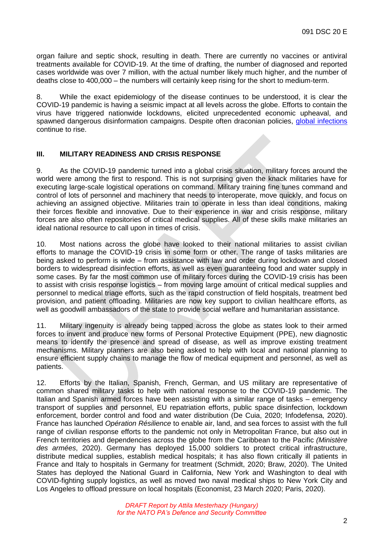organ failure and septic shock, resulting in death. There are currently no vaccines or antiviral treatments available for COVID-19. At the time of drafting, the number of diagnosed and reported cases worldwide was over 7 million, with the actual number likely much higher, and the number of deaths close to 400,000 – the numbers will certainly keep rising for the short to medium-term.

8. While the exact epidemiology of the disease continues to be understood, it is clear the COVID-19 pandemic is having a seismic impact at all levels across the globe. Efforts to contain the virus have triggered nationwide lockdowns, elicited unprecedented economic upheaval, and spawned dangerous disinformation campaigns. Despite often draconian policies, [global infections](https://www.washingtonpost.com/graphics/2020/world/mapping-spread-new-coronavirus/?itid=lk_inline_manual_3) continue to rise.

#### <span id="page-3-0"></span>**III. MILITARY READINESS AND CRISIS RESPONSE**

9. As the COVID-19 pandemic turned into a global crisis situation, military forces around the world were among the first to respond. This is not surprising given the knack militaries have for executing large-scale logistical operations on command. Military training fine tunes command and control of lots of personnel and machinery that needs to interoperate, move quickly, and focus on achieving an assigned objective. Militaries train to operate in less than ideal conditions, making their forces flexible and innovative. Due to their experience in war and crisis response, military forces are also often repositories of critical medical supplies. All of these skills make militaries an ideal national resource to call upon in times of crisis.

10. Most nations across the globe have looked to their national militaries to assist civilian efforts to manage the COVID-19 crisis in some form or other. The range of tasks militaries are being asked to perform is wide – from assistance with law and order during lockdown and closed borders to widespread disinfection efforts, as well as even guaranteeing food and water supply in some cases. By far the most common use of military forces during the COVID-19 crisis has been to assist with crisis response logistics – from moving large amount of critical medical supplies and personnel to medical triage efforts, such as the rapid construction of field hospitals, treatment bed provision, and patient offloading. Militaries are now key support to civilian healthcare efforts, as well as goodwill ambassadors of the state to provide social welfare and humanitarian assistance.

11. Military ingenuity is already being tapped across the globe as states look to their armed forces to invent and produce new forms of Personal Protective Equipment (PPE), new diagnostic means to identify the presence and spread of disease, as well as improve existing treatment mechanisms. Military planners are also being asked to help with local and national planning to ensure efficient supply chains to manage the flow of medical equipment and personnel, as well as patients.

12. Efforts by the Italian, Spanish, French, German, and US military are representative of common shared military tasks to help with national response to the COVID-19 pandemic. The Italian and Spanish armed forces have been assisting with a similar range of tasks – emergency transport of supplies and personnel, EU repatriation efforts, public space disinfection, lockdown enforcement, border control and food and water distribution (De Cuia, 2020; Infodefensa, 2020). France has launched *Opération Résilience* to enable air, land, and sea forces to assist with the full range of civilian response efforts to the pandemic not only in Metropolitan France, but also out in French territories and dependencies across the globe from the Caribbean to the Pacific *(Ministère des armées*, 2020). Germany has deployed 15,000 soldiers to protect critical infrastructure, distribute medical supplies, establish medical hospitals; it has also flown critically ill patients in France and Italy to hospitals in Germany for treatment (Schmidt, 2020; Braw, 2020). The United States has deployed the National Guard in California, New York and Washington to deal with COVID-fighting supply logistics, as well as moved two naval medical ships to New York City and Los Angeles to offload pressure on local hospitals (Economist, 23 March 2020; Paris, 2020).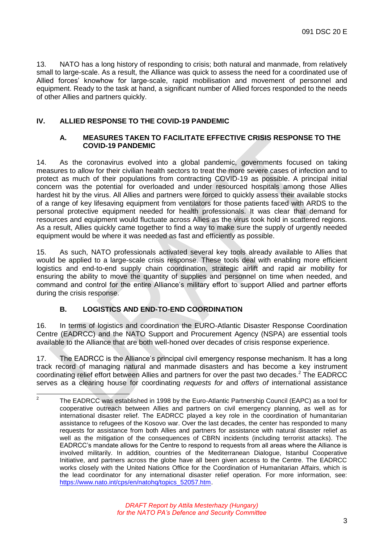13. NATO has a long history of responding to crisis; both natural and manmade, from relatively small to large-scale. As a result, the Alliance was quick to assess the need for a coordinated use of Allied forces' knowhow for large-scale, rapid mobilisation and movement of personnel and equipment. Ready to the task at hand, a significant number of Allied forces responded to the needs of other Allies and partners quickly.

# <span id="page-4-1"></span><span id="page-4-0"></span>**IV. ALLIED RESPONSE TO THE COVID-19 PANDEMIC**

#### **A. MEASURES TAKEN TO FACILITATE EFFECTIVE CRISIS RESPONSE TO THE COVID-19 PANDEMIC**

14. As the coronavirus evolved into a global pandemic, governments focused on taking measures to allow for their civilian health sectors to treat the more severe cases of infection and to protect as much of their populations from contracting COVID-19 as possible. A principal initial concern was the potential for overloaded and under resourced hospitals among those Allies hardest hit by the virus. All Allies and partners were forced to quickly assess their available stocks of a range of key lifesaving equipment from ventilators for those patients faced with ARDS to the personal protective equipment needed for health professionals. It was clear that demand for resources and equipment would fluctuate across Allies as the virus took hold in scattered regions. As a result, Allies quickly came together to find a way to make sure the supply of urgently needed equipment would be where it was needed as fast and efficiently as possible.

15. As such, NATO professionals activated several key tools already available to Allies that would be applied to a large-scale crisis response. These tools deal with enabling more efficient logistics and end-to-end supply chain coordination, strategic airlift and rapid air mobility for ensuring the ability to move the quantity of supplies and personnel on time when needed, and command and control for the entire Alliance's military effort to support Allied and partner efforts during the crisis response.

# **B. LOGISTICS AND END-TO-END COORDINATION**

<span id="page-4-2"></span>16. In terms of logistics and coordination the EURO-Atlantic Disaster Response Coordination Centre (EADRCC) and the NATO Support and Procurement Agency (NSPA) are essential tools available to the Alliance that are both well-honed over decades of crisis response experience.

17. The EADRCC is the Alliance's principal civil emergency response mechanism. It has a long track record of managing natural and manmade disasters and has become a key instrument coordinating relief effort between Allies and partners for over the past two decades.<sup>2</sup> The EADRCC serves as a clearing house for coordinating *requests for* and *offers of* international assistance

 $\frac{1}{2}$ The EADRCC was established in 1998 by the Euro-Atlantic Partnership Council (EAPC) as a tool for cooperative outreach between Allies and partners on civil emergency planning, as well as for international disaster relief. The EADRCC played a key role in the coordination of humanitarian assistance to refugees of the Kosovo war. Over the last decades, the center has responded to many requests for assistance from both Allies and partners for assistance with natural disaster relief as well as the mitigation of the consequences of CBRN incidents (including terrorist attacks). The EADRCC's mandate allows for the Centre to respond to requests from all areas where the Alliance is involved militarily. In addition, countries of the Mediterranean Dialogue, Istanbul Cooperative Initiative, and partners across the globe have all been given access to the Centre. The EADRCC works closely with the United Nations Office for the Coordination of Humanitarian Affairs, which is the lead coordinator for any international disaster relief operation. For more information, see: [https://www.nato.int/cps/en/natohq/topics\\_52057.htm.](https://www.nato.int/cps/en/natohq/topics_52057.htm)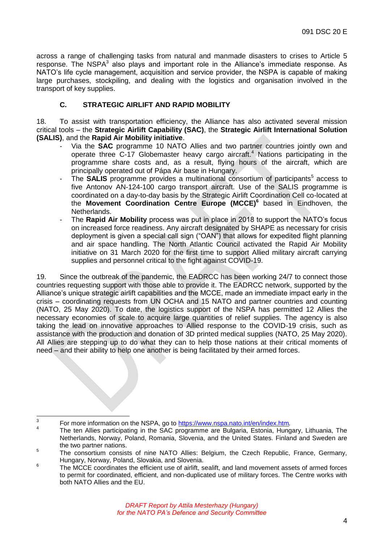across a range of challenging tasks from natural and manmade disasters to crises to Article 5 response. The NSPA $3$  also plays and important role in the Alliance's immediate response. As NATO's life cycle management, acquisition and service provider, the NSPA is capable of making large purchases, stockpiling, and dealing with the logistics and organisation involved in the transport of key supplies.

## **C. STRATEGIC AIRLIFT AND RAPID MOBILITY**

<span id="page-5-0"></span>18. To assist with transportation efficiency, the Alliance has also activated several mission critical tools – the **Strategic Airlift Capability (SAC)**, the **Strategic Airlift International Solution (SALIS)**, and the **Rapid Air Mobility initiative**.

- Via the **SAC** programme 10 NATO Allies and two partner countries jointly own and operate three C-17 Globemaster heavy cargo aircraft.<sup>4</sup> Nations participating in the programme share costs and, as a result, flying hours of the aircraft, which are principally operated out of Pápa Air base in Hungary.
- The **SALIS** programme provides a multinational consortium of participants<sup>5</sup> access to five Antonov AN-124-100 cargo transport aircraft. Use of the SALIS programme is coordinated on a day-to-day basis by the Strategic Airlift Coordination Cell co-located at the **Movement Coordination Centre Europe (MCCE)<sup>6</sup>** based in Eindhoven, the Netherlands.
- The **Rapid Air Mobility** process was put in place in 2018 to support the NATO's focus on increased force readiness. Any aircraft designated by SHAPE as necessary for crisis deployment is given a special call sign ("OAN") that allows for expedited flight planning and air space handling. The North Atlantic Council activated the Rapid Air Mobility initiative on 31 March 2020 for the first time to support Allied military aircraft carrying supplies and personnel critical to the fight against COVID-19.

19. Since the outbreak of the pandemic, the EADRCC has been working 24/7 to connect those countries requesting support with those able to provide it. The EADRCC network, supported by the Alliance's unique strategic airlift capabilities and the MCCE, made an immediate impact early in the crisis – coordinating requests from UN OCHA and 15 NATO and partner countries and counting (NATO, 25 May 2020). To date, the logistics support of the NSPA has permitted 12 Allies the necessary economies of scale to acquire large quantities of relief supplies. The agency is also taking the lead on innovative approaches to Allied response to the COVID-19 crisis, such as assistance with the production and donation of 3D printed medical supplies (NATO, 25 May 2020). All Allies are stepping up to do what they can to help those nations at their critical moments of need – and their ability to help one another is being facilitated by their armed forces.

<sup>-&</sup>lt;br>3 For more information on the NSPA, go to<https://www.nspa.nato.int/en/index.htm>.

<sup>4</sup> The ten Allies participating in the SAC programme are Bulgaria, Estonia, Hungary, Lithuania, The Netherlands, Norway, Poland, Romania, Slovenia, and the United States. Finland and Sweden are the two partner nations.

<sup>5</sup> The consortium consists of nine NATO Allies: Belgium, the Czech Republic, France, Germany, Hungary, Norway, Poland, Slovakia, and Slovenia.

<sup>6</sup> The MCCE coordinates the efficient use of airlift, sealift, and land movement assets of armed forces to permit for coordinated, efficient, and non-duplicated use of military forces. The Centre works with both NATO Allies and the EU.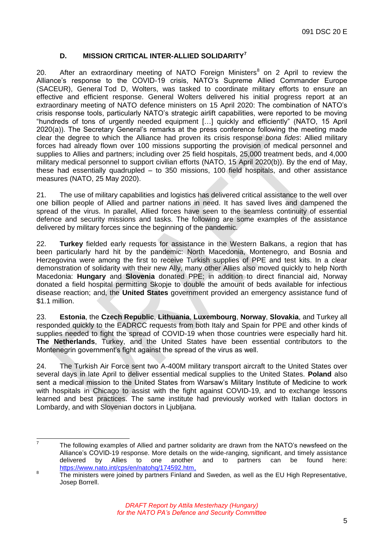# **D. MISSION CRITICAL INTER-ALLIED SOLIDARITY<sup>7</sup>**

<span id="page-6-0"></span>20. After an extraordinary meeting of NATO Foreign Ministers<sup>8</sup> on 2 April to review the Alliance's response to the COVID-19 crisis, NATO's Supreme Allied Commander Europe (SACEUR), General Tod D, Wolters, was tasked to coordinate military efforts to ensure an effective and efficient response. General Wolters delivered his initial progress report at an extraordinary meeting of NATO defence ministers on 15 April 2020: The combination of NATO's crisis response tools, particularly NATO's strategic airlift capabilities, were reported to be moving "hundreds of tons of urgently needed equipment […] quickly and efficiently" (NATO, 15 April 2020(a)). The Secretary General's remarks at the press conference following the meeting made clear the degree to which the Alliance had proven its crisis response *bona fides*: Allied military forces had already flown over 100 missions supporting the provision of medical personnel and supplies to Allies and partners; including over 25 field hospitals, 25,000 treatment beds, and 4,000 military medical personnel to support civilian efforts (NATO, 15 April 2020(b)). By the end of May, these had essentially quadrupled – to 350 missions, 100 field hospitals, and other assistance measures (NATO, 25 May 2020).

21. The use of military capabilities and logistics has delivered critical assistance to the well over one billion people of Allied and partner nations in need. It has saved lives and dampened the spread of the virus. In parallel, Allied forces have seen to the seamless continuity of essential defence and security missions and tasks. The following are some examples of the assistance delivered by military forces since the beginning of the pandemic.

22. **Turkey** fielded early requests for assistance in the Western Balkans, a region that has been particularly hard hit by the pandemic: North Macedonia, Montenegro, and Bosnia and Herzegovina were among the first to receive Turkish supplies of PPE and test kits. In a clear demonstration of solidarity with their new Ally, many other Allies also moved quickly to help North Macedonia: **Hungary** and **Slovenia** donated PPE; in addition to direct financial aid, Norway donated a field hospital permitting Skopje to double the amount of beds available for infectious disease reaction; and, the **United States** government provided an emergency assistance fund of \$1.1 million.

23. **Estonia**, the **Czech Republic**, **Lithuania**, **Luxembourg**, **Norway**, **Slovakia**, and Turkey all responded quickly to the EADRCC requests from both Italy and Spain for PPE and other kinds of supplies needed to fight the spread of COVID-19 when those countries were especially hard hit. **The Netherlands**, Turkey, and the United States have been essential contributors to the Montenegrin government's fight against the spread of the virus as well.

24. The Turkish Air Force sent two A-400M military transport aircraft to the United States over several days in late April to deliver essential medical supplies to the United States. **Poland** also sent a medical mission to the United States from Warsaw's Military Institute of Medicine to work with hospitals in Chicago to assist with the fight against COVID-19, and to exchange lessons learned and best practices. The same institute had previously worked with Italian doctors in Lombardy, and with Slovenian doctors in Ljubljana.

<sup>—&</sup>lt;br>7 The following examples of Allied and partner solidarity are drawn from the NATO's newsfeed on the Alliance's COVID-19 response. More details on the wide-ranging, significant, and timely assistance delivered by Allies to one another and to partners can be found here: [https://www.nato.int/cps/en/natohq/174592.htm,](https://www.nato.int/cps/en/natohq/174592.htm)

<sup>8</sup> The ministers were joined by partners Finland and Sweden, as well as the EU High Representative, Josep Borrell.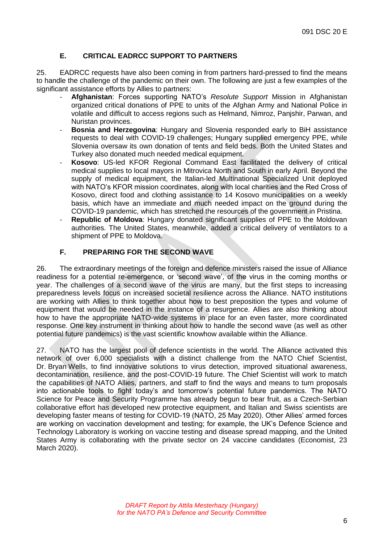# **E. CRITICAL EADRCC SUPPORT TO PARTNERS**

<span id="page-7-0"></span>25. EADRCC requests have also been coming in from partners hard-pressed to find the means to handle the challenge of the pandemic on their own. The following are just a few examples of the significant assistance efforts by Allies to partners:

- **Afghanistan**: Forces supporting NATO's *Resolute Support* Mission in Afghanistan organized critical donations of PPE to units of the Afghan Army and National Police in volatile and difficult to access regions such as Helmand, Nimroz, Panjshir, Parwan, and Nuristan provinces.
- **Bosnia and Herzegovina**: Hungary and Slovenia responded early to BiH assistance requests to deal with COVID-19 challenges; Hungary supplied emergency PPE, while Slovenia oversaw its own donation of tents and field beds. Both the United States and Turkey also donated much needed medical equipment.
- **Kosovo**: US-led KFOR Regional Command East facilitated the delivery of critical medical supplies to local mayors in Mitrovica North and South in early April. Beyond the supply of medical equipment, the Italian-led Multinational Specialized Unit deployed with NATO's KFOR mission coordinates, along with local charities and the Red Cross of Kosovo, direct food and clothing assistance to 14 Kosovo municipalities on a weekly basis, which have an immediate and much needed impact on the ground during the COVID-19 pandemic, which has stretched the resources of the government in Pristina.
- **Republic of Moldova:** Hungary donated significant supplies of PPE to the Moldovan authorities. The United States, meanwhile, added a critical delivery of ventilators to a shipment of PPE to Moldova.

#### **F. PREPARING FOR THE SECOND WAVE**

<span id="page-7-1"></span>26. The extraordinary meetings of the foreign and defence ministers raised the issue of Alliance readiness for a potential re-emergence, or 'second wave', of the virus in the coming months or year. The challenges of a second wave of the virus are many, but the first steps to increasing preparedness levels focus on increased societal resilience across the Alliance. NATO institutions are working with Allies to think together about how to best preposition the types and volume of equipment that would be needed in the instance of a resurgence. Allies are also thinking about how to have the appropriate NATO-wide systems in place for an even faster, more coordinated response. One key instrument in thinking about how to handle the second wave (as well as other potential future pandemics) is the vast scientific knowhow available within the Alliance.

27. NATO has the largest pool of defence scientists in the world. The Alliance activated this network of over 6,000 specialists with a distinct challenge from the NATO Chief Scientist, Dr. Bryan Wells, to find innovative solutions to virus detection, improved situational awareness, decontamination, resilience, and the post-COVID-19 future. The Chief Scientist will work to match the capabilities of NATO Allies, partners, and staff to find the ways and means to turn proposals into actionable tools to fight today's and tomorrow's potential future pandemics. The NATO Science for Peace and Security Programme has already begun to bear fruit, as a Czech-Serbian collaborative effort has developed new protective equipment, and Italian and Swiss scientists are developing faster means of testing for COVID-19 (NATO, 25 May 2020). Other Allies' armed forces are working on vaccination development and testing; for example, the UK's Defence Science and Technology Laboratory is working on vaccine testing and disease spread mapping, and the United States Army is collaborating with the private sector on 24 vaccine candidates (Economist, 23 March 2020).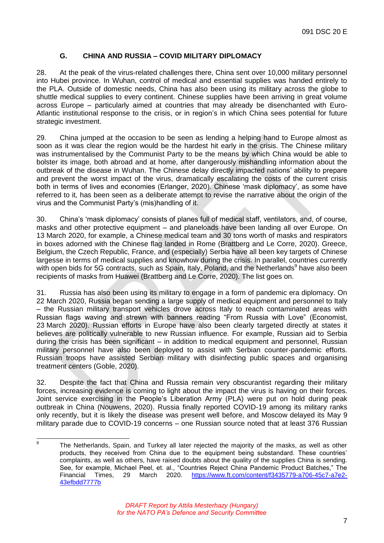# **G. CHINA AND RUSSIA – COVID MILITARY DIPLOMACY**

<span id="page-8-0"></span>28. At the peak of the virus-related challenges there, China sent over 10,000 military personnel into Hubei province. In Wuhan, control of medical and essential supplies was handed entirely to the PLA. Outside of domestic needs, China has also been using its military across the globe to shuttle medical supplies to every continent. Chinese supplies have been arriving in great volume across Europe – particularly aimed at countries that may already be disenchanted with Euro-Atlantic institutional response to the crisis, or in region's in which China sees potential for future strategic investment.

29. China jumped at the occasion to be seen as lending a helping hand to Europe almost as soon as it was clear the region would be the hardest hit early in the crisis. The Chinese military was instrumentalised by the Communist Party to be the means by which China would be able to bolster its image, both abroad and at home, after dangerously mishandling information about the outbreak of the disease in Wuhan. The Chinese delay directly impacted nations' ability to prepare and prevent the worst impact of the virus, dramatically escalating the costs of the current crisis both in terms of lives and economies (Erlanger, 2020). Chinese 'mask diplomacy', as some have referred to it, has been seen as a deliberate attempt to revise the narrative about the origin of the virus and the Communist Party's (mis)handling of it.

30. China's 'mask diplomacy' consists of planes full of medical staff, ventilators, and, of course, masks and other protective equipment – and planeloads have been landing all over Europe. On 13 March 2020, for example, a Chinese medical team and 30 tons worth of masks and respirators in boxes adorned with the Chinese flag landed in Rome (Brattberg and Le Corre, 2020). Greece, Belgium, the Czech Republic, France, and (especially) Serbia have all been key targets of Chinese largesse in terms of medical supplies and knowhow during the crisis. In parallel, countries currently with open bids for 5G contracts, such as Spain, Italy, Poland, and the Netherlands<sup>9</sup> have also been recipients of masks from Huawei (Brattberg and Le Corre, 2020). The list goes on.

31. Russia has also been using its military to engage in a form of pandemic era diplomacy. On 22 March 2020, Russia began sending a large supply of medical equipment and personnel to Italy – the Russian military transport vehicles drove across Italy to reach contaminated areas with Russian flags waving and strewn with banners reading "From Russia with Love" (Economist, 23 March 2020). Russian efforts in Europe have also been clearly targeted directly at states it believes are politically vulnerable to new Russian influence. For example, Russian aid to Serbia during the crisis has been significant – in addition to medical equipment and personnel, Russian military personnel have also been deployed to assist with Serbian counter-pandemic efforts. Russian troops have assisted Serbian military with disinfecting public spaces and organising treatment centers (Goble, 2020).

32. Despite the fact that China and Russia remain very obscurantist regarding their military forces, increasing evidence is coming to light about the impact the virus is having on their forces. Joint service exercising in the People's Liberation Army (PLA) were put on hold during peak outbreak in China (Nouwens, 2020). Russia finally reported COVID-19 among its military ranks only recently, but it is likely the disease was present well before, and Moscow delayed its May 9 military parade due to COVID-19 concerns – one Russian source noted that at least 376 Russian

<sup>–&</sup>lt;br>9 The Netherlands, Spain, and Turkey all later rejected the majority of the masks, as well as other products, they received from China due to the equipment being substandard. These countries' complaints, as well as others, have raised doubts about the quality of the supplies China is sending. See, for example, Michael Peel, et. al., "Countries Reject China Pandemic Product Batches," The Financial Times, 29 March 2020. [https://www.ft.com/content/f3435779-a706-45c7-a7e2-](https://www.ft.com/content/f3435779-a706-45c7-a7e2-43efbdd7777b) [43efbdd7777b](https://www.ft.com/content/f3435779-a706-45c7-a7e2-43efbdd7777b)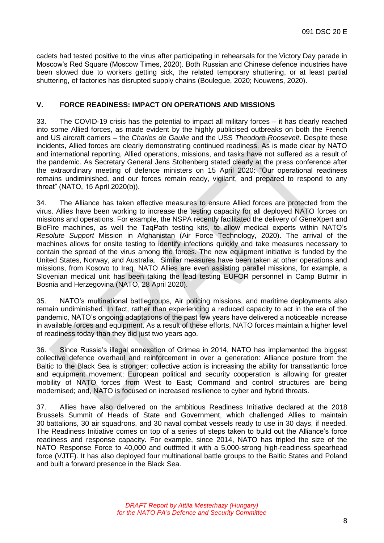cadets had tested positive to the virus after participating in rehearsals for the Victory Day parade in Moscow's Red Square (Moscow Times, 2020). Both Russian and Chinese defence industries have been slowed due to workers getting sick, the related temporary shuttering, or at least partial shuttering, of factories has disrupted supply chains (Boulegue, 2020; Nouwens, 2020).

#### <span id="page-9-0"></span>**V. FORCE READINESS: IMPACT ON OPERATIONS AND MISSIONS**

33. The COVID-19 crisis has the potential to impact all military forces – it has clearly reached into some Allied forces, as made evident by the highly publicised outbreaks on both the French and US aircraft carriers – the *Charles de Gaulle* and the USS *Theodore Roosevelt*. Despite these incidents, Allied forces are clearly demonstrating continued readiness. As is made clear by NATO and international reporting, Allied operations, missions, and tasks have not suffered as a result of the pandemic. As Secretary General Jens Stoltenberg stated clearly at the press conference after the extraordinary meeting of defence ministers on 15 April 2020: "Our operational readiness remains undiminished, and our forces remain ready, vigilant, and prepared to respond to any threat" (NATO, 15 April 2020(b)).

34. The Alliance has taken effective measures to ensure Allied forces are protected from the virus. Allies have been working to increase the testing capacity for all deployed NATO forces on missions and operations. For example, the NSPA recently facilitated the delivery of GeneXpert and BioFire machines, as well the TaqPath testing kits, to allow medical experts within NATO's *Resolute Support* Mission in Afghanistan (Air Force Technology, 2020). The arrival of the machines allows for onsite testing to identify infections quickly and take measures necessary to contain the spread of the virus among the forces. The new equipment initiative is funded by the United States, Norway, and Australia. Similar measures have been taken at other operations and missions, from Kosovo to Iraq. NATO Allies are even assisting parallel missions, for example, a Slovenian medical unit has been taking the lead testing EUFOR personnel in Camp Butmir in Bosnia and Herzegovina (NATO, 28 April 2020).

35. NATO's multinational battlegroups, Air policing missions, and maritime deployments also remain undiminished. In fact, rather than experiencing a reduced capacity to act in the era of the pandemic, NATO's ongoing adaptations of the past few years have delivered a noticeable increase in available forces and equipment. As a result of these efforts, NATO forces maintain a higher level of readiness today than they did just two years ago.

36. Since Russia's illegal annexation of Crimea in 2014, NATO has implemented the biggest collective defence overhaul and reinforcement in over a generation: Alliance posture from the Baltic to the Black Sea is stronger; collective action is increasing the ability for transatlantic force and equipment movement; European political and security cooperation is allowing for greater mobility of NATO forces from West to East; Command and control structures are being modernised; and, NATO is focused on increased resilience to cyber and hybrid threats.

37. Allies have also delivered on the ambitious Readiness Initiative declared at the 2018 Brussels Summit of Heads of State and Government, which challenged Allies to maintain 30 battalions, 30 air squadrons, and 30 naval combat vessels ready to use in 30 days, if needed. The Readiness Initiative comes on top of a series of steps taken to build out the Alliance's force readiness and response capacity. For example, since 2014, NATO has tripled the size of the NATO Response Force to 40,000 and outfitted it with a 5,000-strong high-readiness spearhead force (VJTF). It has also deployed four multinational battle groups to the Baltic States and Poland and built a forward presence in the Black Sea.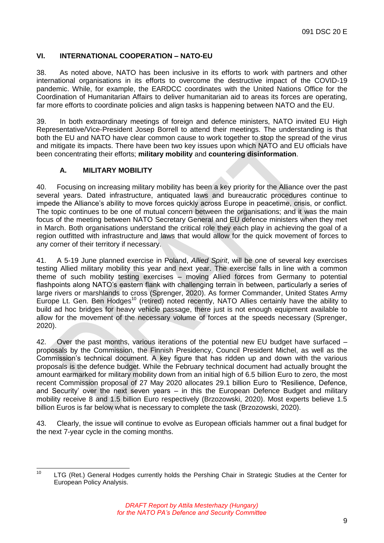#### <span id="page-10-0"></span>**VI. INTERNATIONAL COOPERATION – NATO-EU**

38. As noted above, NATO has been inclusive in its efforts to work with partners and other international organisations in its efforts to overcome the destructive impact of the COVID-19 pandemic. While, for example, the EARDCC coordinates with the United Nations Office for the Coordination of Humanitarian Affairs to deliver humanitarian aid to areas its forces are operating, far more efforts to coordinate policies and align tasks is happening between NATO and the EU.

39. In both extraordinary meetings of foreign and defence ministers, NATO invited EU High Representative/Vice-President Josep Borrell to attend their meetings. The understanding is that both the EU and NATO have clear common cause to work together to stop the spread of the virus and mitigate its impacts. There have been two key issues upon which NATO and EU officials have been concentrating their efforts; **military mobility** and **countering disinformation**.

#### **A. MILITARY MOBILITY**

<span id="page-10-1"></span>40. Focusing on increasing military mobility has been a key priority for the Alliance over the past several years. Dated infrastructure, antiquated laws and bureaucratic procedures continue to impede the Alliance's ability to move forces quickly across Europe in peacetime, crisis, or conflict. The topic continues to be one of mutual concern between the organisations; and it was the main focus of the meeting between NATO Secretary General and EU defence ministers when they met in March. Both organisations understand the critical role they each play in achieving the goal of a region outfitted with infrastructure and laws that would allow for the quick movement of forces to any corner of their territory if necessary.

41. A 5-19 June planned exercise in Poland, *Allied Spirit*, will be one of several key exercises testing Allied military mobility this year and next year. The exercise falls in line with a common theme of such mobility testing exercises – moving Allied forces from Germany to potential flashpoints along NATO's eastern flank with challenging terrain in between, particularly a series of large rivers or marshlands to cross (Sprenger, 2020). As former Commander, United States Army Europe Lt. Gen. Ben Hodges<sup>10</sup> (retired) noted recently, NATO Allies certainly have the ability to build ad hoc bridges for heavy vehicle passage, there just is not enough equipment available to allow for the movement of the necessary volume of forces at the speeds necessary (Sprenger, 2020).

42. Over the past months, various iterations of the potential new EU budget have surfaced – proposals by the Commission, the Finnish Presidency, Council President Michel, as well as the Commission's technical document. A key figure that has ridden up and down with the various proposals is the defence budget. While the February technical document had actually brought the amount earmarked for military mobility down from an initial high of 6.5 billion Euro to zero, the most recent Commission proposal of 27 May 2020 allocates 29.1 billion Euro to 'Resilience, Defence, and Security' over the next seven years – in this the European Defence Budget and military mobility receive 8 and 1.5 billion Euro respectively (Brzozowski, 2020). Most experts believe 1.5 billion Euros is far below what is necessary to complete the task (Brzozowski, 2020).

43. Clearly, the issue will continue to evolve as European officials hammer out a final budget for the next 7-year cycle in the coming months.

 $10$ LTG (Ret.) General Hodges currently holds the Pershing Chair in Strategic Studies at the Center for European Policy Analysis.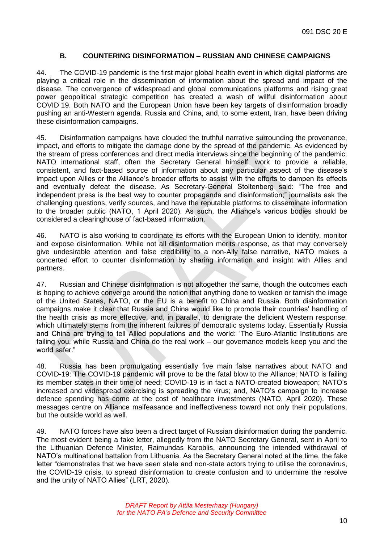#### **B. COUNTERING DISINFORMATION – RUSSIAN AND CHINESE CAMPAIGNS**

<span id="page-11-0"></span>44. The COVID-19 pandemic is the first major global health event in which digital platforms are playing a critical role in the dissemination of information about the spread and impact of the disease. The convergence of widespread and global communications platforms and rising great power geopolitical strategic competition has created a wash of willful disinformation about COVID 19. Both NATO and the European Union have been key targets of disinformation broadly pushing an anti-Western agenda. Russia and China, and, to some extent, Iran, have been driving these disinformation campaigns.

45. Disinformation campaigns have clouded the truthful narrative surrounding the provenance, impact, and efforts to mitigate the damage done by the spread of the pandemic. As evidenced by the stream of press conferences and direct media interviews since the beginning of the pandemic, NATO international staff, often the Secretary General himself, work to provide a reliable, consistent, and fact-based source of information about any particular aspect of the disease's impact upon Allies or the Alliance's broader efforts to assist with the efforts to dampen its effects and eventually defeat the disease. As Secretary-General Stoltenberg said: "The free and independent press is the best way to counter propaganda and disinformation;" journalists ask the challenging questions, verify sources, and have the reputable platforms to disseminate information to the broader public (NATO, 1 April 2020). As such, the Alliance's various bodies should be considered a clearinghouse of fact-based information.

46. NATO is also working to coordinate its efforts with the European Union to identify, monitor and expose disinformation. While not all disinformation merits response, as that may conversely give undesirable attention and false credibility to a non-Ally false narrative, NATO makes a concerted effort to counter disinformation by sharing information and insight with Allies and partners.

47. Russian and Chinese disinformation is not altogether the same, though the outcomes each is hoping to achieve converge around the notion that anything done to weaken or tarnish the image of the United States, NATO, or the EU is a benefit to China and Russia. Both disinformation campaigns make it clear that Russia and China would like to promote their countries' handling of the health crisis as more effective, and, in parallel, to denigrate the deficient Western response, which ultimately stems from the inherent failures of democratic systems today. Essentially Russia and China are trying to tell Allied populations and the world: 'The Euro-Atlantic Institutions are failing you, while Russia and China do the real work – our governance models keep you and the world safer."

48. Russia has been promulgating essentially five main false narratives about NATO and COVID-19: The COVID-19 pandemic will prove to be the fatal blow to the Alliance; NATO is failing its member states in their time of need; COVID-19 is in fact a NATO-created bioweapon; NATO's increased and widespread exercising is spreading the virus; and, NATO's campaign to increase defence spending has come at the cost of healthcare investments (NATO, April 2020). These messages centre on Alliance malfeasance and ineffectiveness toward not only their populations, but the outside world as well.

49. NATO forces have also been a direct target of Russian disinformation during the pandemic. The most evident being a fake letter, allegedly from the NATO Secretary General, sent in April to the Lithuanian Defence Minister, Raimundas Karoblis, announcing the intended withdrawal of NATO's multinational battalion from Lithuania. As the Secretary General noted at the time, the fake letter "demonstrates that we have seen state and non-state actors trying to utilise the coronavirus, the COVID-19 crisis, to spread disinformation to create confusion and to undermine the resolve and the unity of NATO Allies" (LRT, 2020).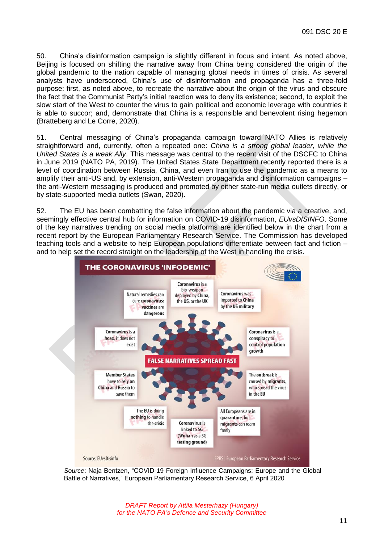50. China's disinformation campaign is slightly different in focus and intent. As noted above, Beijing is focused on shifting the narrative away from China being considered the origin of the global pandemic to the nation capable of managing global needs in times of crisis. As several analysts have underscored, China's use of disinformation and propaganda has a three-fold purpose: first, as noted above, to recreate the narrative about the origin of the virus and obscure the fact that the Communist Party's initial reaction was to deny its existence; second, to exploit the slow start of the West to counter the virus to gain political and economic leverage with countries it is able to succor; and, demonstrate that China is a responsible and benevolent rising hegemon (Bratteberg and Le Corre, 2020).

51. Central messaging of China's propaganda campaign toward NATO Allies is relatively straightforward and, currently, often a repeated one: *China is a strong global leader, while the United States is a weak Ally*. This message was central to the recent visit of the DSCFC to China in June 2019 (NATO PA, 2019). The United States State Department recently reported there is a level of coordination between Russia, China, and even Iran to use the pandemic as a means to amplify their anti-US and, by extension, anti-Western propaganda and disinformation campaigns – the anti-Western messaging is produced and promoted by either state-run media outlets directly, or by state-supported media outlets (Swan, 2020).

52. The EU has been combatting the false information about the pandemic via a creative, and, seemingly effective central hub for information on COVID-19 disinformation, *EUvsDISINFO*. Some of the key narratives trending on social media platforms are identified below in the chart from a recent report by the European Parliamentary Research Service. The Commission has developed teaching tools and a website to help European populations differentiate between fact and fiction – and to help set the record straight on the leadership of the West in handling the crisis.



*Source*: Naja Bentzen, "COVID-19 Foreign Influence Campaigns: Europe and the Global Battle of Narratives," European Parliamentary Research Service, 6 April 2020

*DRAFT Report by Attila Mesterhazy (Hungary) for the NATO PA's Defence and Security Committee*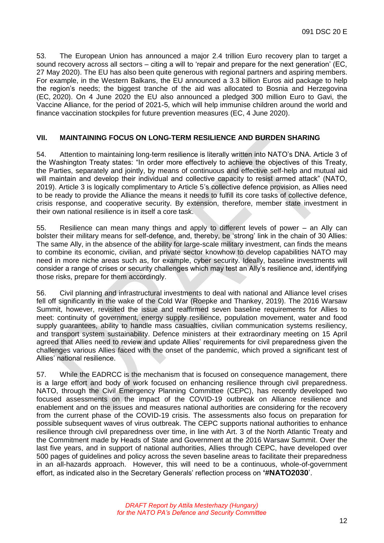53. The European Union has announced a major 2.4 trillion Euro recovery plan to target a sound recovery across all sectors – citing a will to 'repair and prepare for the next generation' (EC, 27 May 2020). The EU has also been quite generous with regional partners and aspiring members. For example, in the Western Balkans, the EU announced a 3.3 billion Euros aid package to help the region's needs; the biggest tranche of the aid was allocated to Bosnia and Herzegovina (EC, 2020). On 4 June 2020 the EU also announced a pledged 300 million Euro to Gavi, the Vaccine Alliance, for the period of 2021-5, which will help immunise children around the world and finance vaccination stockpiles for future prevention measures (EC, 4 June 2020).

#### <span id="page-13-0"></span>**VII. MAINTAINING FOCUS ON LONG-TERM RESILIENCE AND BURDEN SHARING**

54. Attention to maintaining long-term resilience is literally written into NATO's DNA. Article 3 of the Washington Treaty states: "In order more effectively to achieve the objectives of this Treaty, the Parties, separately and jointly, by means of continuous and effective self-help and mutual aid will maintain and develop their individual and collective capacity to resist armed attack" (NATO, 2019). Article 3 is logically complimentary to Article 5's collective defence provision, as Allies need to be ready to provide the Alliance the means it needs to fulfill its core tasks of collective defence, crisis response, and cooperative security. By extension, therefore, member state investment in their own national resilience is in itself a core task.

55. Resilience can mean many things and apply to different levels of power – an Ally can bolster their military means for self-defence, and, thereby, be 'strong' link in the chain of 30 Allies: The same Ally, in the absence of the ability for large-scale military investment, can finds the means to combine its economic, civilian, and private sector knowhow to develop capabilities NATO may need in more niche areas such as, for example, cyber security. Ideally, baseline investments will consider a range of crises or security challenges which may test an Ally's resilience and, identifying those risks, prepare for them accordingly.

56. Civil planning and infrastructural investments to deal with national and Alliance level crises fell off significantly in the wake of the Cold War (Roepke and Thankey, 2019). The 2016 Warsaw Summit, however, revisited the issue and reaffirmed seven baseline requirements for Allies to meet: continuity of government, energy supply resilience, population movement, water and food supply guarantees, ability to handle mass casualties, civilian communication systems resiliency, and transport system sustainability. Defence ministers at their extraordinary meeting on 15 April agreed that Allies need to review and update Allies' requirements for civil preparedness given the challenges various Allies faced with the onset of the pandemic, which proved a significant test of Allies' national resilience.

57. While the EADRCC is the mechanism that is focused on consequence management, there is a large effort and body of work focused on enhancing resilience through civil preparedness. NATO, through the Civil Emergency Planning Committee (CEPC), has recently developed two focused assessments on the impact of the COVID-19 outbreak on Alliance resilience and enablement and on the issues and measures national authorities are considering for the recovery from the current phase of the COVID-19 crisis. The assessments also focus on preparation for possible subsequent waves of virus outbreak. The CEPC supports national authorities to enhance resilience through civil preparedness over time, in line with Art. 3 of the North Atlantic Treaty and the Commitment made by Heads of State and Government at the 2016 Warsaw Summit. Over the last five years, and in support of national authorities, Allies through CEPC, have developed over 500 pages of guidelines and policy across the seven baseline areas to facilitate their preparedness in an all-hazards approach. However, this will need to be a continuous, whole-of-government effort, as indicated also in the Secretary Generals' reflection process on **'#NATO2030**'.

> *DRAFT Report by Attila Mesterhazy (Hungary) for the NATO PA's Defence and Security Committee*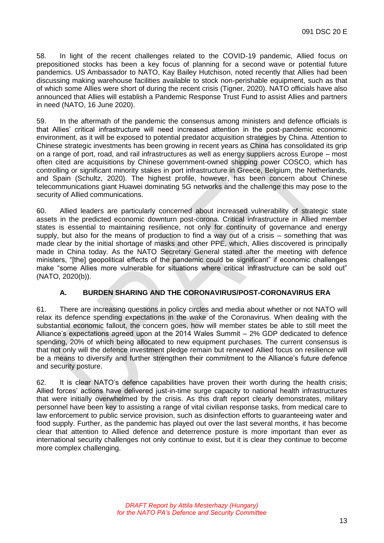58. In light of the recent challenges related to the COVID-19 pandemic, Allied focus on prepositioned stocks has been a key focus of planning for a second wave or potential future pandemics. US Ambassador to NATO, Kay Bailey Hutchison, noted recently that Allies had been discussing making warehouse facilities available to stock non-perishable equipment, such as that of which some Allies were short of during the recent crisis (Tigner, 2020). NATO officials have also announced that Allies will establish a Pandemic Response Trust Fund to assist Allies and partners in need (NATO, 16 June 2020).

59. In the aftermath of the pandemic the consensus among ministers and defence officials is that Allies' critical infrastructure will need increased attention in the post-pandemic economic environment, as it will be exposed to potential predator acquisition strategies by China. Attention to Chinese strategic investments has been growing in recent years as China has consolidated its grip on a range of port, road, and rail infrastructures as well as energy suppliers across Europe – most often cited are acquisitions by Chinese government-owned shipping power COSCO, which has controlling or significant minority stakes in port infrastructure in Greece, Belgium, the Netherlands, and Spain (Schultz, 2020). The highest profile, however, has been concern about Chinese telecommunications giant Huawei dominating 5G networks and the challenge this may pose to the security of Allied communications.

60. Allied leaders are particularly concerned about increased vulnerability of strategic state assets in the predicted economic downturn post-corona. Critical infrastructure in Allied member states is essential to maintaining resilience, not only for continuity of governance and energy supply, but also for the means of production to find a way out of a crisis – something that was made clear by the initial shortage of masks and other PPE, which, Allies discovered is principally made in China today. As the NATO Secretary General stated after the meeting with defence ministers, "[the] geopolitical effects of the pandemic could be significant" if economic challenges make "some Allies more vulnerable for situations where critical infrastructure can be sold out" (NATO, 2020(b)).

#### **A. BURDEN SHARING AND THE CORONAVIRUS/POST-CORONAVIRUS ERA**

<span id="page-14-0"></span>61. There are increasing questions in policy circles and media about whether or not NATO will relax its defence spending expectations in the wake of the Coronavirus. When dealing with the substantial economic fallout, the concern goes, how will member states be able to still meet the Alliance's expectations agreed upon at the 2014 Wales Summit – 2% GDP dedicated to defence spending, 20% of which being allocated to new equipment purchases. The current consensus is that not only will the defence investment pledge remain but renewed Allied focus on resilience will be a means to diversify and further strengthen their commitment to the Alliance's future defence and security posture.

62. It is clear NATO's defence capabilities have proven their worth during the health crisis; Allied forces' actions have delivered just-in-time surge capacity to national health infrastructures that were initially overwhelmed by the crisis. As this draft report clearly demonstrates, military personnel have been key to assisting a range of vital civilian response tasks, from medical care to law enforcement to public service provision, such as disinfection efforts to guaranteeing water and food supply. Further, as the pandemic has played out over the last several months, it has become clear that attention to Allied defence and deterrence posture is more important than ever as international security challenges not only continue to exist, but it is clear they continue to become more complex challenging.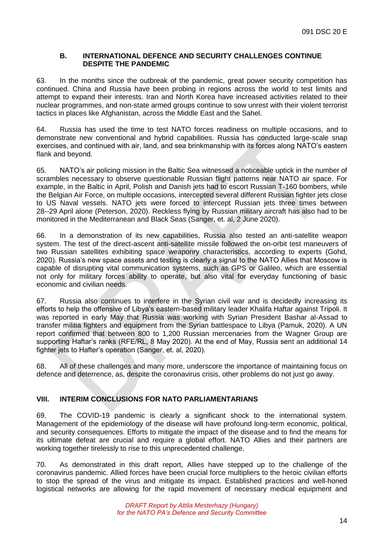#### **B. INTERNATIONAL DEFENCE AND SECURITY CHALLENGES CONTINUE DESPITE THE PANDEMIC**

<span id="page-15-0"></span>63. In the months since the outbreak of the pandemic, great power security competition has continued. China and Russia have been probing in regions across the world to test limits and attempt to expand their interests. Iran and North Korea have increased activities related to their nuclear programmes, and non-state armed groups continue to sow unrest with their violent terrorist tactics in places like Afghanistan, across the Middle East and the Sahel.

64. Russia has used the time to test NATO forces readiness on multiple occasions, and to demonstrate new conventional and hybrid capabilities. Russia has conducted large-scale snap exercises, and continued with air, land, and sea brinkmanship with its forces along NATO's eastern flank and beyond.

65. NATO's air policing mission in the Baltic Sea witnessed a noticeable uptick in the number of scrambles necessary to observe questionable Russian flight patterns near NATO air space. For example, in the Baltic in April, Polish and Danish jets had to escort Russian T-160 bombers, while the Belgian Air Force, on multiple occasions, intercepted several different Russian fighter jets close to US Naval vessels. NATO jets were forced to intercept Russian jets three times between 28--29 April alone (Peterson, 2020). Reckless flying by Russian military aircraft has also had to be monitored in the Mediterranean and Black Seas (Sanger, et. al, 2 June 2020).

66. In a demonstration of its new capabilities, Russia also tested an anti-satellite weapon system. The test of the direct-ascent anti-satellite missile followed the on-orbit test maneuvers of two Russian satellites exhibiting space weaponry characteristics, according to experts (Gohd, 2020). Russia's new space assets and testing is clearly a signal to the NATO Allies that Moscow is capable of disrupting vital communication systems, such as GPS or Galileo, which are essential not only for military forces ability to operate, but also vital for everyday functioning of basic economic and civilian needs.

67. Russia also continues to interfere in the Syrian civil war and is decidedly increasing its efforts to help the offensive of Libya's eastern-based military leader Khalifa Haftar against Tripoli. It was reported in early May that Russia was working with Syrian President Bashar al-Assad to transfer militia fighters and equipment from the Syrian battlespace to Libya (Pamuk, 2020). A UN report confirmed that between 800 to 1,200 Russian mercenaries from the Wagner Group are supporting Haftar's ranks (RFE/RL, 8 May 2020). At the end of May, Russia sent an additional 14 fighter jets to Hafter's operation (Sanger, et. al, 2020).

68. All of these challenges and many more, underscore the importance of maintaining focus on defence and deterrence, as, despite the coronavirus crisis, other problems do not just go away.

#### <span id="page-15-1"></span>**VIII. INTERIM CONCLUSIONS FOR NATO PARLIAMENTARIANS**

69. The COVID-19 pandemic is clearly a significant shock to the international system. Management of the epidemiology of the disease will have profound long-term economic, political, and security consequences. Efforts to mitigate the impact of the disease and to find the means for its ultimate defeat are crucial and require a global effort. NATO Allies and their partners are working together tirelessly to rise to this unprecedented challenge.

70. As demonstrated in this draft report, Allies have stepped up to the challenge of the coronavirus pandemic. Allied forces have been crucial force multipliers to the heroic civilian efforts to stop the spread of the virus and mitigate its impact. Established practices and well-honed logistical networks are allowing for the rapid movement of necessary medical equipment and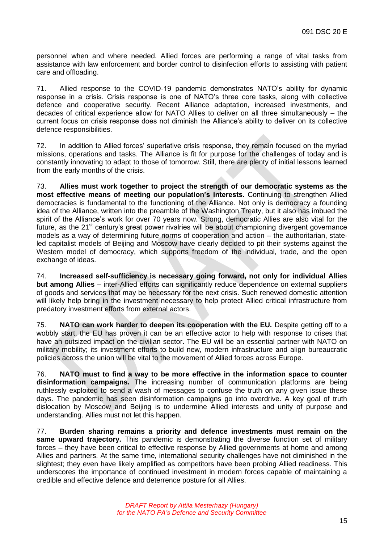personnel when and where needed. Allied forces are performing a range of vital tasks from assistance with law enforcement and border control to disinfection efforts to assisting with patient care and offloading.

71. Allied response to the COVID-19 pandemic demonstrates NATO's ability for dynamic response in a crisis. Crisis response is one of NATO's three core tasks, along with collective defence and cooperative security. Recent Alliance adaptation, increased investments, and decades of critical experience allow for NATO Allies to deliver on all three simultaneously – the current focus on crisis response does not diminish the Alliance's ability to deliver on its collective defence responsibilities.

72. In addition to Allied forces' superlative crisis response, they remain focused on the myriad missions, operations and tasks. The Alliance is fit for purpose for the challenges of today and is constantly innovating to adapt to those of tomorrow. Still, there are plenty of initial lessons learned from the early months of the crisis.

73. **Allies must work together to project the strength of our democratic systems as the most effective means of meeting our population's interests.** Continuing to strengthen Allied democracies is fundamental to the functioning of the Alliance. Not only is democracy a founding idea of the Alliance, written into the preamble of the Washington Treaty, but it also has imbued the spirit of the Alliance's work for over 70 years now. Strong, democratic Allies are also vital for the future, as the 21<sup>st</sup> century's great power rivalries will be about championing divergent governance models as a way of determining future norms of cooperation and action – the authoritarian, stateled capitalist models of Beijing and Moscow have clearly decided to pit their systems against the Western model of democracy, which supports freedom of the individual, trade, and the open exchange of ideas.

74. **Increased self-sufficiency is necessary going forward, not only for individual Allies but among Allies** – inter-Allied efforts can significantly reduce dependence on external suppliers of goods and services that may be necessary for the next crisis. Such renewed domestic attention will likely help bring in the investment necessary to help protect Allied critical infrastructure from predatory investment efforts from external actors.

75. **NATO can work harder to deepen its cooperation with the EU.** Despite getting off to a wobbly start, the EU has proven it can be an effective actor to help with response to crises that have an outsized impact on the civilian sector. The EU will be an essential partner with NATO on military mobility; its investment efforts to build new, modern infrastructure and align bureaucratic policies across the union will be vital to the movement of Allied forces across Europe.

76. **NATO must to find a way to be more effective in the information space to counter disinformation campaigns.** The increasing number of communication platforms are being ruthlessly exploited to send a wash of messages to confuse the truth on any given issue these days. The pandemic has seen disinformation campaigns go into overdrive. A key goal of truth dislocation by Moscow and Beijing is to undermine Allied interests and unity of purpose and understanding. Allies must not let this happen.

77. **Burden sharing remains a priority and defence investments must remain on the same upward trajectory.** This pandemic is demonstrating the diverse function set of military forces – they have been critical to effective response by Allied governments at home and among Allies and partners. At the same time, international security challenges have not diminished in the slightest; they even have likely amplified as competitors have been probing Allied readiness. This underscores the importance of continued investment in modern forces capable of maintaining a credible and effective defence and deterrence posture for all Allies.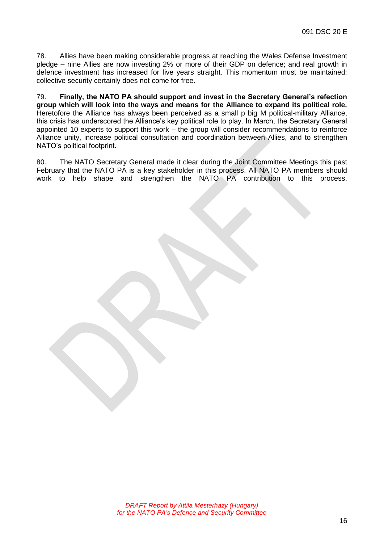78. Allies have been making considerable progress at reaching the Wales Defense Investment pledge – nine Allies are now investing 2% or more of their GDP on defence; and real growth in defence investment has increased for five years straight. This momentum must be maintained: collective security certainly does not come for free.

79. **Finally, the NATO PA should support and invest in the Secretary General's refection group which will look into the ways and means for the Alliance to expand its political role.** Heretofore the Alliance has always been perceived as a small p big M political-military Alliance, this crisis has underscored the Alliance's key political role to play. In March, the Secretary General appointed 10 experts to support this work – the group will consider recommendations to reinforce Alliance unity, increase political consultation and coordination between Allies, and to strengthen NATO's political footprint.

80. The NATO Secretary General made it clear during the Joint Committee Meetings this past February that the NATO PA is a key stakeholder in this process. All NATO PA members should work to help shape and strengthen the NATO PA contribution to this process.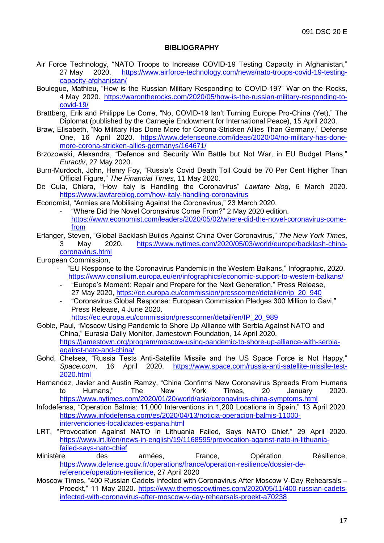#### **BIBLIOGRAPHY**

- <span id="page-18-0"></span>Air Force Technology, "NATO Troops to Increase COVID-19 Testing Capacity in Afghanistan," 27 May 2020. [https://www.airforce-technology.com/news/nato-troops-covid-19-testing](https://www.airforce-technology.com/news/nato-troops-covid-19-testing-capacity-afghanistan/)[capacity-afghanistan/](https://www.airforce-technology.com/news/nato-troops-covid-19-testing-capacity-afghanistan/)
- Boulegue, Mathieu, "How is the Russian Military Responding to COVID-19?" War on the Rocks, 4 May 2020. [https://warontherocks.com/2020/05/how-is-the-russian-military-responding-to](https://warontherocks.com/2020/05/how-is-the-russian-military-responding-to-covid-19/)[covid-19/](https://warontherocks.com/2020/05/how-is-the-russian-military-responding-to-covid-19/)
- Brattberg, Erik and Philippe Le Corre, "No, COVID-19 Isn't Turning Europe Pro-China (Yet)," The Diplomat (published by the Carnegie Endowment for International Peace), 15 April 2020.
- Braw, Elisabeth, "No Military Has Done More for Corona-Stricken Allies Than Germany," Defense One, 16 April 2020. [https://www.defenseone.com/ideas/2020/04/no-military-has-done](https://www.defenseone.com/ideas/2020/04/no-military-has-done-more-corona-stricken-allies-germanys/164671/)[more-corona-stricken-allies-germanys/164671/](https://www.defenseone.com/ideas/2020/04/no-military-has-done-more-corona-stricken-allies-germanys/164671/)
- Brzozowski, Alexandra, "Defence and Security Win Battle but Not War, in EU Budget Plans," *Euractiv*, 27 May 2020.
- Burn-Murdoch, John, Henry Foy, "Russia's Covid Death Toll Could be 70 Per Cent Higher Than Official Figure," *The Financial Times*, 11 May 2020.
- De Cuia, Chiara, "How Italy is Handling the Coronavirus" *Lawfare blog*, 6 March 2020. <https://www.lawfareblog.com/how-italy-handling-coronavirus>

Economist, "Armies are Mobilising Against the Coronavirus," 23 March 2020.

- "Where Did the Novel Coronavirus Come From?" 2 May 2020 edition. [https://www.economist.com/leaders/2020/05/02/where-did-the-novel-coronavirus-come](https://www.economist.com/leaders/2020/05/02/where-did-the-novel-coronavirus-come-from)[from](https://www.economist.com/leaders/2020/05/02/where-did-the-novel-coronavirus-come-from)
- Erlanger, Steven, "Global Backlash Builds Against China Over Coronavirus," *The New York Times*, 3 May 2020. [https://www.nytimes.com/2020/05/03/world/europe/backlash-china](https://www.nytimes.com/2020/05/03/world/europe/backlash-china-coronavirus.html)[coronavirus.html](https://www.nytimes.com/2020/05/03/world/europe/backlash-china-coronavirus.html)

European Commission,

- "EU Response to the Coronavirus Pandemic in the Western Balkans," Infographic, 2020. <https://www.consilium.europa.eu/en/infographics/economic-support-to-western-balkans/>
- "Europe's Moment: Repair and Prepare for the Next Generation," Press Release, 27 May 2020, [https://ec.europa.eu/commission/presscorner/detail/en/ip\\_20\\_940](https://ec.europa.eu/commission/presscorner/detail/en/ip_20_940)
- "Coronavirus Global Response: European Commission Pledges 300 Million to Gavi," Press Release, 4 June 2020.
	- [https://ec.europa.eu/commission/presscorner/detail/en/IP\\_20\\_989](https://ec.europa.eu/commission/presscorner/detail/en/IP_20_989)
- Goble, Paul, "Moscow Using Pandemic to Shore Up Alliance with Serbia Against NATO and China," Eurasia Daily Monitor, Jamestown Foundation, 14 April 2020, [https://jamestown.org/program/moscow-using-pandemic-to-shore-up-alliance-with-serbia](https://jamestown.org/program/moscow-using-pandemic-to-shore-up-alliance-with-serbia-against-nato-and-china/)[against-nato-and-china/](https://jamestown.org/program/moscow-using-pandemic-to-shore-up-alliance-with-serbia-against-nato-and-china/)
- Gohd, Chelsea, "Russia Tests Anti-Satellite Missile and the US Space Force is Not Happy," *Space.com*, 16 April 2020. [https://www.space.com/russia-anti-satellite-missile-test-](https://www.space.com/russia-anti-satellite-missile-test-2020.html)[2020.html](https://www.space.com/russia-anti-satellite-missile-test-2020.html)
- Hernandez, Javier and Austin Ramzy, "China Confirms New Coronavirus Spreads From Humans to Humans," The New York Times, 20 January 2020. <https://www.nytimes.com/2020/01/20/world/asia/coronavirus-china-symptoms.html>
- Infodefensa, "Operation Balmis: 11,000 Interventions in 1,200 Locations in Spain," 13 April 2020. [https://www.infodefensa.com/es/2020/04/13/noticia-operacion-balmis-11000](https://www.infodefensa.com/es/2020/04/13/noticia-operacion-balmis-11000-intervenciones-localidades-espana.html) [intervenciones-localidades-espana.html](https://www.infodefensa.com/es/2020/04/13/noticia-operacion-balmis-11000-intervenciones-localidades-espana.html)
- LRT, "Provocation Against NATO in Lithuania Failed, Says NATO Chief," 29 April 2020. [https://www.lrt.lt/en/news-in-english/19/1168595/provocation-against-nato-in-lithuania](https://www.lrt.lt/en/news-in-english/19/1168595/provocation-against-nato-in-lithuania-failed-says-nato-chief)[failed-says-nato-chief](https://www.lrt.lt/en/news-in-english/19/1168595/provocation-against-nato-in-lithuania-failed-says-nato-chief)
- Ministère des armées, France, Opération Résilience, [https://www.defense.gouv.fr/operations/france/operation-resilience/dossier-de](https://www.defense.gouv.fr/operations/france/operation-resilience/dossier-de-reference/operation-resilience)[reference/operation-resilience,](https://www.defense.gouv.fr/operations/france/operation-resilience/dossier-de-reference/operation-resilience) 27 April 2020
- Moscow Times, "400 Russian Cadets Infected with Coronavirus After Moscow V-Day Rehearsals Proeckt," 11 May 2020. [https://www.themoscowtimes.com/2020/05/11/400-russian-cadets](https://www.themoscowtimes.com/2020/05/11/400-russian-cadets-infected-with-coronavirus-after-moscow-v-day-rehearsals-proekt-a70238)[infected-with-coronavirus-after-moscow-v-day-rehearsals-proekt-a70238](https://www.themoscowtimes.com/2020/05/11/400-russian-cadets-infected-with-coronavirus-after-moscow-v-day-rehearsals-proekt-a70238)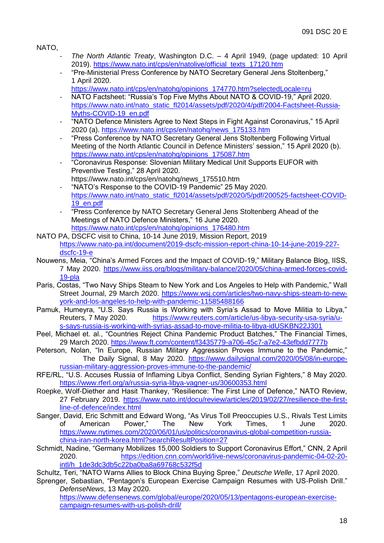NATO,

- *The North Atlantic Treaty*, Washington D.C. 4 April 1949, (page updated: 10 April 2019). [https://www.nato.int/cps/en/natolive/official\\_texts\\_17120.htm](https://www.nato.int/cps/en/natolive/official_texts_17120.htm)
- "Pre-Ministerial Press Conference by NATO Secretary General Jens Stoltenberg," 1 April 2020.
	- [https://www.nato.int/cps/en/natohq/opinions\\_174770.htm?selectedLocale=ru](https://www.nato.int/cps/en/natohq/opinions_174770.htm?selectedLocale=ru)
- NATO Factsheet: "Russia's Top Five Myths About NATO & COVID-19," April 2020. [https://www.nato.int/nato\\_static\\_fl2014/assets/pdf/2020/4/pdf/2004-Factsheet-Russia-](https://www.nato.int/nato_static_fl2014/assets/pdf/2020/4/pdf/2004-Factsheet-Russia-Myths-COVID-19_en.pdf)[Myths-COVID-19\\_en.pdf](https://www.nato.int/nato_static_fl2014/assets/pdf/2020/4/pdf/2004-Factsheet-Russia-Myths-COVID-19_en.pdf)
- "NATO Defence Ministers Agree to Next Steps in Fight Against Coronavirus," 15 April 2020 (a). [https://www.nato.int/cps/en/natohq/news\\_175133.htm](https://www.nato.int/cps/en/natohq/news_175133.htm)
- "Press Conference by NATO Secretary General Jens Stoltenberg Following Virtual Meeting of the North Atlantic Council in Defence Ministers' session," 15 April 2020 (b). [https://www.nato.int/cps/en/natohq/opinions\\_175087.htm](https://www.nato.int/cps/en/natohq/opinions_175087.htm)
- "Coronavirus Response: Slovenian Military Medical Unit Supports EUFOR with Preventive Testing," 28 April 2020.
- https://www.nato.int/cps/en/natohq/news\_175510.htm
- "NATO's Response to the COVID-19 Pandemic" 25 May 2020. [https://www.nato.int/nato\\_static\\_fl2014/assets/pdf/2020/5/pdf/200525-factsheet-COVID-](https://www.nato.int/nato_static_fl2014/assets/pdf/2020/5/pdf/200525-factsheet-COVID-19_en.pdf)[19\\_en.pdf](https://www.nato.int/nato_static_fl2014/assets/pdf/2020/5/pdf/200525-factsheet-COVID-19_en.pdf)
- "Press Conference by NATO Secretary General Jens Stoltenberg Ahead of the Meetings of NATO Defence Ministers," 16 June 2020. [https://www.nato.int/cps/en/natohq/opinions\\_176480.htm](https://www.nato.int/cps/en/natohq/opinions_176480.htm)
- NATO PA, DSCFC visit to China, 10-14 June 2019, Mission Report, 2019 [https://www.nato-pa.int/document/2019-dscfc-mission-report-china-10-14-june-2019-227](https://www.nato-pa.int/document/2019-dscfc-mission-report-china-10-14-june-2019-227-dscfc-19-e) [dscfc-19-e](https://www.nato-pa.int/document/2019-dscfc-mission-report-china-10-14-june-2019-227-dscfc-19-e)
- Nouwens, Meia, "China's Armed Forces and the Impact of COVID-19," Military Balance Blog, IISS, 7 May 2020. [https://www.iiss.org/blogs/military-balance/2020/05/china-armed-forces-covid-](https://www.iiss.org/blogs/military-balance/2020/05/china-armed-forces-covid-19-pla)[19-pla](https://www.iiss.org/blogs/military-balance/2020/05/china-armed-forces-covid-19-pla)
- Paris, Costas, "Two Navy Ships Steam to New York and Los Angeles to Help with Pandemic," Wall Street Journal, 29 March 2020. [https://www.wsj.com/articles/two-navy-ships-steam-to-new](https://www.wsj.com/articles/two-navy-ships-steam-to-new-york-and-los-angeles-to-help-with-pandemic-11585488166)[york-and-los-angeles-to-help-with-pandemic-11585488166](https://www.wsj.com/articles/two-navy-ships-steam-to-new-york-and-los-angeles-to-help-with-pandemic-11585488166)
- Pamuk, Humeyra, "U.S. Says Russia is Working with Syria's Assad to Move Militia to Libya," Reuters, 7 May 2020. [https://www.reuters.com/article/us-libya-security-usa-syria/u](https://www.reuters.com/article/us-libya-security-usa-syria/u-s-says-russia-is-working-with-syrias-assad-to-move-militia-to-libya-idUSKBN22J301)[s-says-russia-is-working-with-syrias-assad-to-move-militia-to-libya-idUSKBN22J301](https://www.reuters.com/article/us-libya-security-usa-syria/u-s-says-russia-is-working-with-syrias-assad-to-move-militia-to-libya-idUSKBN22J301)
- Peel, Michael et. al., "Countries Reject China Pandemic Product Batches," The Financial Times, 29 March 2020.<https://www.ft.com/content/f3435779-a706-45c7-a7e2-43efbdd7777b>
- Peterson, Nolan, "In Europe, Russian Military Aggression Proves Immune to the Pandemic," The Daily Signal, 8 May 2020. [https://www.dailysignal.com/2020/05/08/in-europe](https://www.dailysignal.com/2020/05/08/in-europe-russian-military-aggression-proves-immune-to-the-pandemic/)[russian-military-aggression-proves-immune-to-the-pandemic/](https://www.dailysignal.com/2020/05/08/in-europe-russian-military-aggression-proves-immune-to-the-pandemic/)
- RFE/RL, "U.S. Accuses Russia of Inflaming Libya Conflict, Sending Syrian Fighters," 8 May 2020. <https://www.rferl.org/a/russia-syria-libya-vagner-us/30600353.html>
- Roepke, Wolf-Diether and Hasit Thankey, "Resilience: The First Line of Defence," NATO Review, 27 February 2019. [https://www.nato.int/docu/review/articles/2019/02/27/resilience-the-first](https://www.nato.int/docu/review/articles/2019/02/27/resilience-the-first-line-of-defence/index.html)[line-of-defence/index.html](https://www.nato.int/docu/review/articles/2019/02/27/resilience-the-first-line-of-defence/index.html)
- Sanger, David, Eric Schmitt and Edward Wong, "As Virus Toll Preoccupies U.S., Rivals Test Limits<br>of American Power," The New York Times, 1 June 2020. of American Power," The New York Times, 1 June 2020. [https://www.nytimes.com/2020/06/01/us/politics/coronavirus-global-competition-russia](https://www.nytimes.com/2020/06/01/us/politics/coronavirus-global-competition-russia-china-iran-north-korea.html?searchResultPosition=27)[china-iran-north-korea.html?searchResultPosition=27](https://www.nytimes.com/2020/06/01/us/politics/coronavirus-global-competition-russia-china-iran-north-korea.html?searchResultPosition=27)
- Schmidt, Nadine, "Germany Mobilizes 15,000 Soldiers to Support Coronavirus Effort," CNN, 2 April 2020. [https://edition.cnn.com/world/live-news/coronavirus-pandemic-04-02-20](https://edition.cnn.com/world/live-news/coronavirus-pandemic-04-02-20-intl/h_1de3dc3db5c22ba0ba8a69768c532f5d) [intl/h\\_1de3dc3db5c22ba0ba8a69768c532f5d](https://edition.cnn.com/world/live-news/coronavirus-pandemic-04-02-20-intl/h_1de3dc3db5c22ba0ba8a69768c532f5d)

Schultz, Teri, "NATO Warns Allies to Block China Buying Spree," *Deutsche Welle*, 17 April 2020.

Sprenger, Sebastian, "Pentagon's European Exercise Campaign Resumes with US-Polish Drill." *DefenseNews*, 13 May 2020.

[https://www.defensenews.com/global/europe/2020/05/13/pentagons-european-exercise](https://www.defensenews.com/global/europe/2020/05/13/pentagons-european-exercise-campaign-resumes-with-us-polish-drill/)[campaign-resumes-with-us-polish-drill/](https://www.defensenews.com/global/europe/2020/05/13/pentagons-european-exercise-campaign-resumes-with-us-polish-drill/)